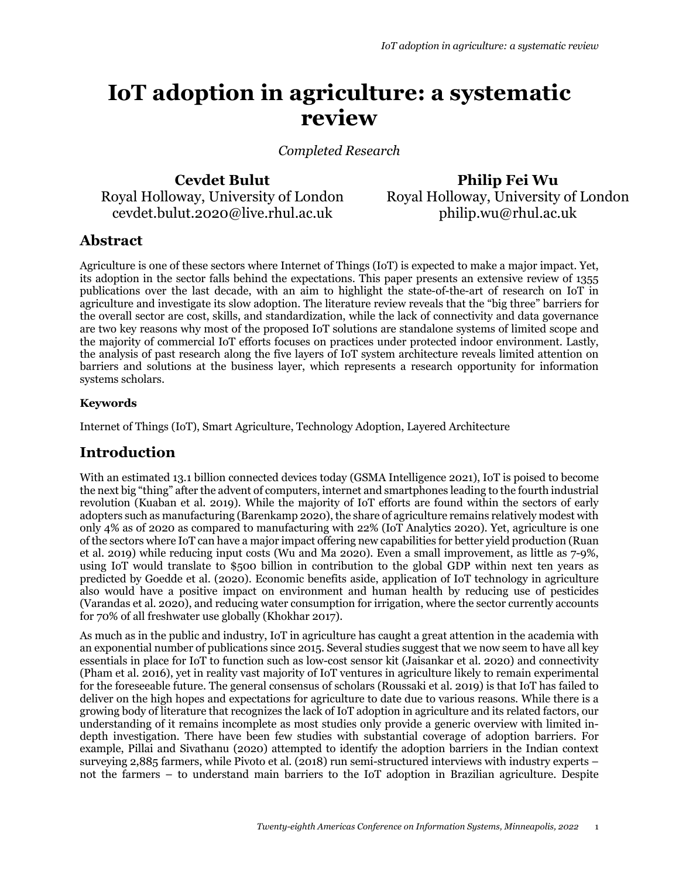# **IoT adoption in agriculture: a systematic review**

*Completed Research*

**Cevdet Bulut** Royal Holloway, University of London cevdet.bulut.2020@live.rhul.ac.uk

**Philip Fei Wu** Royal Holloway, University of London philip.wu@rhul.ac.uk

# **Abstract**

Agriculture is one of these sectors where Internet of Things (IoT) is expected to make a major impact. Yet, its adoption in the sector falls behind the expectations. This paper presents an extensive review of 1355 publications over the last decade, with an aim to highlight the state-of-the-art of research on IoT in agriculture and investigate its slow adoption. The literature review reveals that the "big three" barriers for the overall sector are cost, skills, and standardization, while the lack of connectivity and data governance are two key reasons why most of the proposed IoT solutions are standalone systems of limited scope and the majority of commercial IoT efforts focuses on practices under protected indoor environment. Lastly, the analysis of past research along the five layers of IoT system architecture reveals limited attention on barriers and solutions at the business layer, which represents a research opportunity for information systems scholars.

#### **Keywords**

Internet of Things (IoT), Smart Agriculture, Technology Adoption, Layered Architecture

### **Introduction**

With an estimated 13.1 billion connected devices today (GSMA Intelligence 2021), IoT is poised to become the next big "thing" after the advent of computers, internet and smartphones leading to the fourth industrial revolution (Kuaban et al. 2019). While the majority of IoT efforts are found within the sectors of early adopters such as manufacturing (Barenkamp 2020), the share of agriculture remains relatively modest with only 4% as of 2020 as compared to manufacturing with 22% (IoT Analytics 2020). Yet, agriculture is one of the sectors where IoT can have a major impact offering new capabilities for better yield production (Ruan et al. 2019) while reducing input costs (Wu and Ma 2020). Even a small improvement, as little as 7-9%, using IoT would translate to \$500 billion in contribution to the global GDP within next ten years as predicted by Goedde et al. (2020). Economic benefits aside, application of IoT technology in agriculture also would have a positive impact on environment and human health by reducing use of pesticides (Varandas et al. 2020), and reducing water consumption for irrigation, where the sector currently accounts for 70% of all freshwater use globally (Khokhar 2017).

As much as in the public and industry, IoT in agriculture has caught a great attention in the academia with an exponential number of publications since 2015. Several studies suggest that we now seem to have all key essentials in place for IoT to function such as low-cost sensor kit (Jaisankar et al. 2020) and connectivity (Pham et al. 2016), yet in reality vast majority of IoT ventures in agriculture likely to remain experimental for the foreseeable future. The general consensus of scholars (Roussaki et al. 2019) is that IoT has failed to deliver on the high hopes and expectations for agriculture to date due to various reasons. While there is a growing body of literature that recognizes the lack of IoT adoption in agriculture and its related factors, our understanding of it remains incomplete as most studies only provide a generic overview with limited indepth investigation. There have been few studies with substantial coverage of adoption barriers. For example, Pillai and Sivathanu (2020) attempted to identify the adoption barriers in the Indian context surveying 2,885 farmers, while Pivoto et al. (2018) run semi-structured interviews with industry experts – not the farmers – to understand main barriers to the IoT adoption in Brazilian agriculture. Despite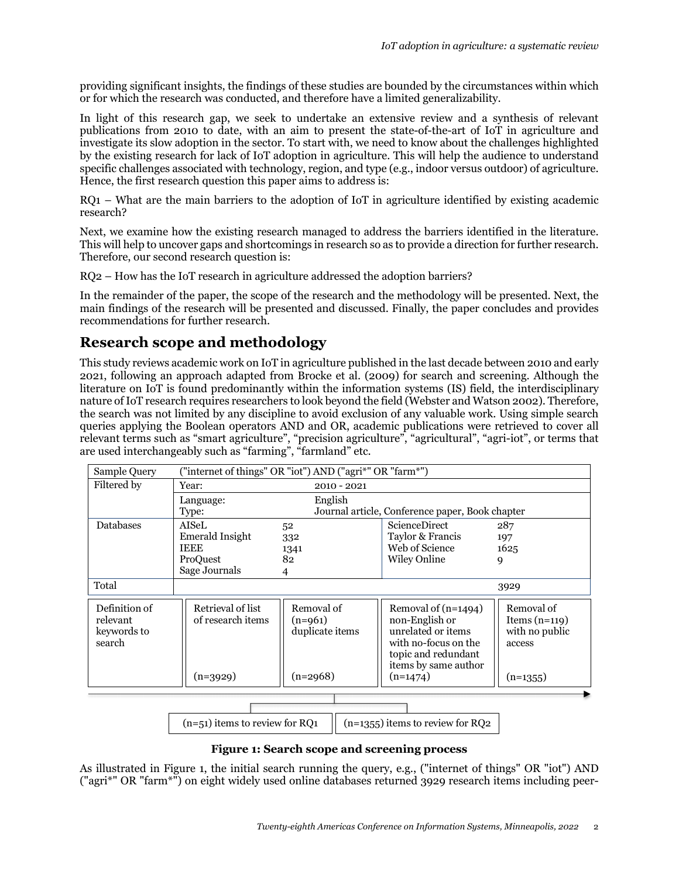providing significant insights, the findings of these studies are bounded by the circumstances within which or for which the research was conducted, and therefore have a limited generalizability.

In light of this research gap, we seek to undertake an extensive review and a synthesis of relevant publications from 2010 to date, with an aim to present the state-of-the-art of IoT in agriculture and investigate its slow adoption in the sector. To start with, we need to know about the challenges highlighted by the existing research for lack of IoT adoption in agriculture. This will help the audience to understand specific challenges associated with technology, region, and type (e.g., indoor versus outdoor) of agriculture. Hence, the first research question this paper aims to address is:

RQ1 – What are the main barriers to the adoption of IoT in agriculture identified by existing academic research?

Next, we examine how the existing research managed to address the barriers identified in the literature. This will help to uncover gaps and shortcomings in research so as to provide a direction for further research. Therefore, our second research question is:

RQ2 – How has the IoT research in agriculture addressed the adoption barriers?

In the remainder of the paper, the scope of the research and the methodology will be presented. Next, the main findings of the research will be presented and discussed. Finally, the paper concludes and provides recommendations for further research.

# **Research scope and methodology**

This study reviews academic work on IoT in agriculture published in the last decade between 2010 and early 2021, following an approach adapted from Brocke et al. (2009) for search and screening. Although the literature on IoT is found predominantly within the information systems (IS) field, the interdisciplinary nature of IoT research requires researchers to look beyond the field (Webster and Watson 2002). Therefore, the search was not limited by any discipline to avoid exclusion of any valuable work. Using simple search queries applying the Boolean operators AND and OR, academic publications were retrieved to cover all relevant terms such as "smart agriculture", "precision agriculture", "agricultural", "agri-iot", or terms that are used interchangeably such as "farming", "farmland" etc.

| Sample Query                                                           | ("internet of things" OR "iot") AND ("agri*" OR "farm*") |                                                 |                                                                                                                                    |                                                           |
|------------------------------------------------------------------------|----------------------------------------------------------|-------------------------------------------------|------------------------------------------------------------------------------------------------------------------------------------|-----------------------------------------------------------|
| Filtered by                                                            | Year:<br>$2010 - 2021$                                   |                                                 |                                                                                                                                    |                                                           |
|                                                                        | Language:                                                | English                                         |                                                                                                                                    |                                                           |
|                                                                        | Type:                                                    | Journal article, Conference paper, Book chapter |                                                                                                                                    |                                                           |
| <b>Databases</b>                                                       | <b>AISeL</b>                                             | 52                                              | <b>ScienceDirect</b>                                                                                                               | 287                                                       |
|                                                                        | Emerald Insight                                          | 332                                             | Taylor & Francis                                                                                                                   | 197                                                       |
|                                                                        | <b>IEEE</b>                                              | 1341                                            | Web of Science                                                                                                                     | 1625                                                      |
|                                                                        | ProQuest                                                 | 82                                              | <b>Wiley Online</b>                                                                                                                | 9                                                         |
|                                                                        | Sage Journals                                            | 4                                               |                                                                                                                                    |                                                           |
| Total                                                                  | 3929                                                     |                                                 |                                                                                                                                    |                                                           |
| Definition of<br>relevant<br>keywords to<br>search                     | Retrieval of list<br>of research items                   | Removal of<br>$(n=961)$<br>duplicate items      | Removal of (n=1494)<br>non-English or<br>unrelated or items<br>with no-focus on the<br>topic and redundant<br>items by same author | Removal of<br>Items $(n=119)$<br>with no public<br>access |
|                                                                        | $(n=3929)$                                               | $(n=2968)$                                      | $(n=1474)$                                                                                                                         | $(n=1355)$                                                |
|                                                                        |                                                          |                                                 |                                                                                                                                    |                                                           |
|                                                                        |                                                          |                                                 |                                                                                                                                    |                                                           |
| $(n=51)$ items to review for RQ1<br>$(n=1355)$ items to review for RQ2 |                                                          |                                                 |                                                                                                                                    |                                                           |

#### **Figure 1: Search scope and screening process**

As illustrated in Figure 1, the initial search running the query, e.g., ("internet of things" OR "iot") AND ("agri\*" OR "farm\*") on eight widely used online databases returned 3929 research items including peer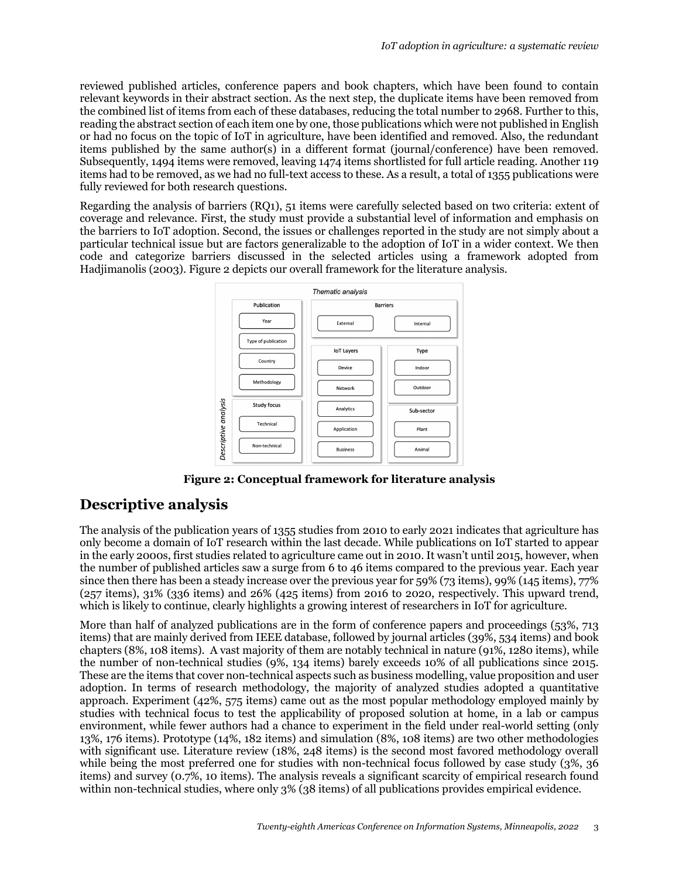reviewed published articles, conference papers and book chapters, which have been found to contain relevant keywords in their abstract section. As the next step, the duplicate items have been removed from the combined list of items from each of these databases, reducing the total number to 2968. Further to this, reading the abstract section of each item one by one, those publications which were not published in English or had no focus on the topic of IoT in agriculture, have been identified and removed. Also, the redundant items published by the same author(s) in a different format (journal/conference) have been removed. Subsequently, 1494 items were removed, leaving 1474 items shortlisted for full article reading. Another 119 items had to be removed, as we had no full-text access to these. As a result, a total of 1355 publications were fully reviewed for both research questions.

Regarding the analysis of barriers (RQ1), 51 items were carefully selected based on two criteria: extent of coverage and relevance. First, the study must provide a substantial level of information and emphasis on the barriers to IoT adoption. Second, the issues or challenges reported in the study are not simply about a particular technical issue but are factors generalizable to the adoption of IoT in a wider context. We then code and categorize barriers discussed in the selected articles using a framework adopted from Hadjimanolis (2003). Figure 2 depicts our overall framework for the literature analysis.



**Figure 2: Conceptual framework for literature analysis**

# **Descriptive analysis**

The analysis of the publication years of 1355 studies from 2010 to early 2021 indicates that agriculture has only become a domain of IoT research within the last decade. While publications on IoT started to appear in the early 2000s, first studies related to agriculture came out in 2010. It wasn't until 2015, however, when the number of published articles saw a surge from 6 to 46 items compared to the previous year. Each year since then there has been a steady increase over the previous year for 59% (73 items), 99% (145 items), 77% (257 items), 31% (336 items) and 26% (425 items) from 2016 to 2020, respectively. This upward trend, which is likely to continue, clearly highlights a growing interest of researchers in IoT for agriculture.

More than half of analyzed publications are in the form of conference papers and proceedings (53%, 713 items) that are mainly derived from IEEE database, followed by journal articles (39%, 534 items) and book chapters (8%, 108 items). A vast majority of them are notably technical in nature (91%, 1280 items), while the number of non-technical studies (9%, 134 items) barely exceeds 10% of all publications since 2015. These are the items that cover non-technical aspects such as business modelling, value proposition and user adoption. In terms of research methodology, the majority of analyzed studies adopted a quantitative approach. Experiment (42%, 575 items) came out as the most popular methodology employed mainly by studies with technical focus to test the applicability of proposed solution at home, in a lab or campus environment, while fewer authors had a chance to experiment in the field under real-world setting (only 13%, 176 items). Prototype (14%, 182 items) and simulation (8%, 108 items) are two other methodologies with significant use. Literature review (18%, 248 items) is the second most favored methodology overall while being the most preferred one for studies with non-technical focus followed by case study (3%, 36) items) and survey (0.7%, 10 items). The analysis reveals a significant scarcity of empirical research found within non-technical studies, where only 3% (38 items) of all publications provides empirical evidence.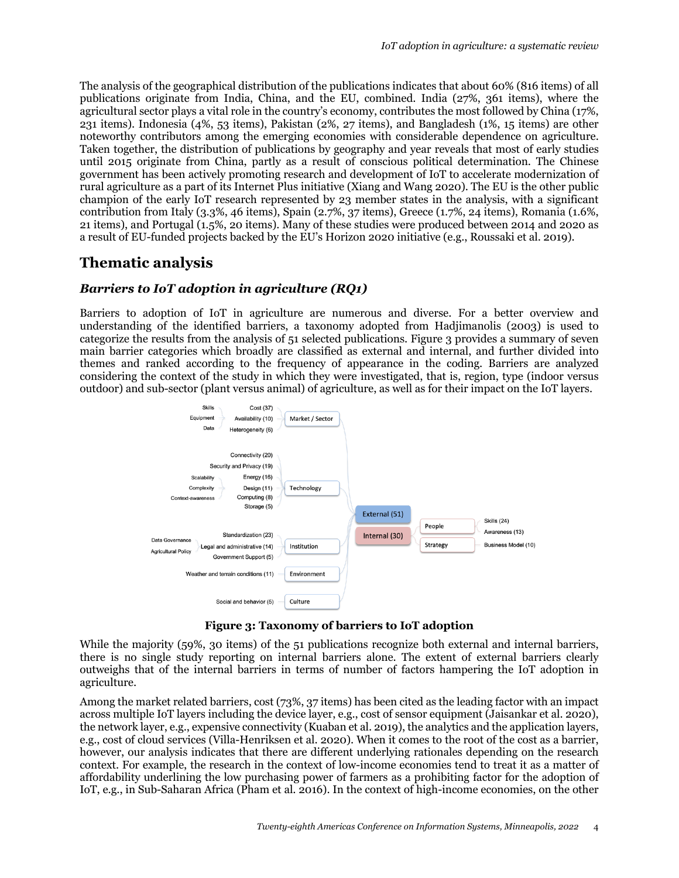The analysis of the geographical distribution of the publications indicates that about 60% (816 items) of all publications originate from India, China, and the EU, combined. India (27%, 361 items), where the agricultural sector plays a vital role in the country's economy, contributes the most followed by China (17%, 231 items). Indonesia (4%, 53 items), Pakistan (2%, 27 items), and Bangladesh (1%, 15 items) are other noteworthy contributors among the emerging economies with considerable dependence on agriculture. Taken together, the distribution of publications by geography and year reveals that most of early studies until 2015 originate from China, partly as a result of conscious political determination. The Chinese government has been actively promoting research and development of IoT to accelerate modernization of rural agriculture as a part of its Internet Plus initiative (Xiang and Wang 2020). The EU is the other public champion of the early IoT research represented by 23 member states in the analysis, with a significant contribution from Italy (3.3%, 46 items), Spain (2.7%, 37 items), Greece (1.7%, 24 items), Romania (1.6%, 21 items), and Portugal (1.5%, 20 items). Many of these studies were produced between 2014 and 2020 as a result of EU-funded projects backed by the EU's Horizon 2020 initiative (e.g., Roussaki et al. 2019).

# **Thematic analysis**

#### *Barriers to IoT adoption in agriculture (RQ1)*

Barriers to adoption of IoT in agriculture are numerous and diverse. For a better overview and understanding of the identified barriers, a taxonomy adopted from Hadjimanolis (2003) is used to categorize the results from the analysis of 51 selected publications. Figure 3 provides a summary of seven main barrier categories which broadly are classified as external and internal, and further divided into themes and ranked according to the frequency of appearance in the coding. Barriers are analyzed considering the context of the study in which they were investigated, that is, region, type (indoor versus outdoor) and sub-sector (plant versus animal) of agriculture, as well as for their impact on the IoT layers.



**Figure 3: Taxonomy of barriers to IoT adoption**

While the majority (59%, 30 items) of the 51 publications recognize both external and internal barriers, there is no single study reporting on internal barriers alone. The extent of external barriers clearly outweighs that of the internal barriers in terms of number of factors hampering the IoT adoption in agriculture.

Among the market related barriers, cost (73%, 37 items) has been cited as the leading factor with an impact across multiple IoT layers including the device layer, e.g., cost of sensor equipment (Jaisankar et al. 2020), the network layer, e.g., expensive connectivity (Kuaban et al. 2019), the analytics and the application layers, e.g., cost of cloud services (Villa-Henriksen et al. 2020). When it comes to the root of the cost as a barrier, however, our analysis indicates that there are different underlying rationales depending on the research context. For example, the research in the context of low-income economies tend to treat it as a matter of affordability underlining the low purchasing power of farmers as a prohibiting factor for the adoption of IoT, e.g., in Sub-Saharan Africa (Pham et al. 2016). In the context of high-income economies, on the other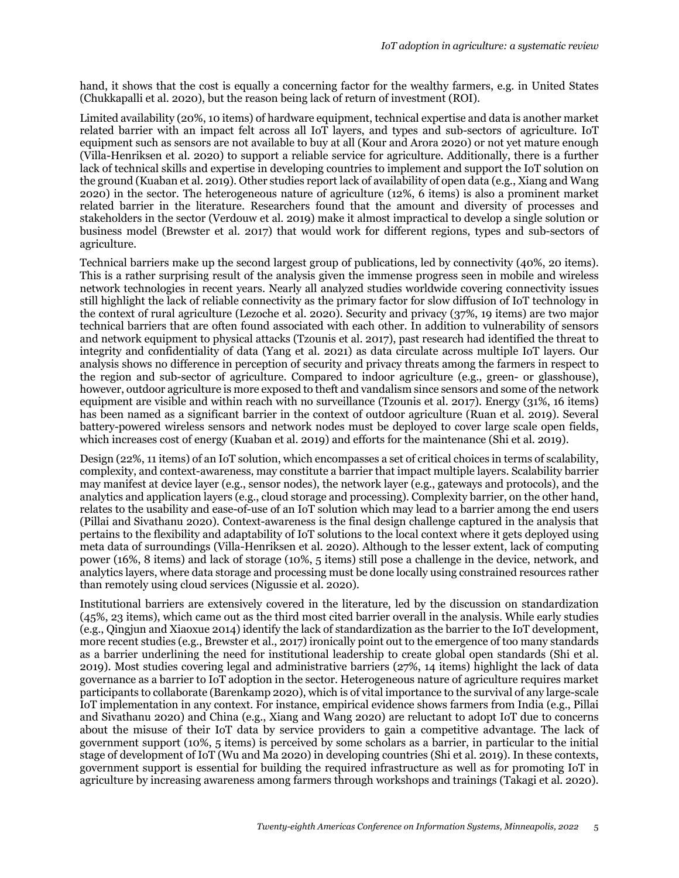hand, it shows that the cost is equally a concerning factor for the wealthy farmers, e.g. in United States (Chukkapalli et al. 2020), but the reason being lack of return of investment (ROI).

Limited availability (20%, 10 items) of hardware equipment, technical expertise and data is another market related barrier with an impact felt across all IoT layers, and types and sub-sectors of agriculture. IoT equipment such as sensors are not available to buy at all (Kour and Arora 2020) or not yet mature enough (Villa-Henriksen et al. 2020) to support a reliable service for agriculture. Additionally, there is a further lack of technical skills and expertise in developing countries to implement and support the IoT solution on the ground (Kuaban et al. 2019). Other studies report lack of availability of open data (e.g., Xiang and Wang 2020) in the sector. The heterogeneous nature of agriculture (12%, 6 items) is also a prominent market related barrier in the literature. Researchers found that the amount and diversity of processes and stakeholders in the sector (Verdouw et al. 2019) make it almost impractical to develop a single solution or business model (Brewster et al. 2017) that would work for different regions, types and sub-sectors of agriculture.

Technical barriers make up the second largest group of publications, led by connectivity (40%, 20 items). This is a rather surprising result of the analysis given the immense progress seen in mobile and wireless network technologies in recent years. Nearly all analyzed studies worldwide covering connectivity issues still highlight the lack of reliable connectivity as the primary factor for slow diffusion of IoT technology in the context of rural agriculture (Lezoche et al. 2020). Security and privacy (37%, 19 items) are two major technical barriers that are often found associated with each other. In addition to vulnerability of sensors and network equipment to physical attacks (Tzounis et al. 2017), past research had identified the threat to integrity and confidentiality of data (Yang et al. 2021) as data circulate across multiple IoT layers. Our analysis shows no difference in perception of security and privacy threats among the farmers in respect to the region and sub-sector of agriculture. Compared to indoor agriculture (e.g., green- or glasshouse), however, outdoor agriculture is more exposed to theft and vandalism since sensors and some of the network equipment are visible and within reach with no surveillance (Tzounis et al. 2017). Energy (31%, 16 items) has been named as a significant barrier in the context of outdoor agriculture (Ruan et al. 2019). Several battery-powered wireless sensors and network nodes must be deployed to cover large scale open fields, which increases cost of energy (Kuaban et al. 2019) and efforts for the maintenance (Shi et al. 2019).

Design (22%, 11 items) of an IoT solution, which encompasses a set of critical choices in terms of scalability, complexity, and context-awareness, may constitute a barrier that impact multiple layers. Scalability barrier may manifest at device layer (e.g., sensor nodes), the network layer (e.g., gateways and protocols), and the analytics and application layers (e.g., cloud storage and processing). Complexity barrier, on the other hand, relates to the usability and ease-of-use of an IoT solution which may lead to a barrier among the end users (Pillai and Sivathanu 2020). Context-awareness is the final design challenge captured in the analysis that pertains to the flexibility and adaptability of IoT solutions to the local context where it gets deployed using meta data of surroundings (Villa-Henriksen et al. 2020). Although to the lesser extent, lack of computing power (16%, 8 items) and lack of storage (10%, 5 items) still pose a challenge in the device, network, and analytics layers, where data storage and processing must be done locally using constrained resources rather than remotely using cloud services (Nigussie et al. 2020).

Institutional barriers are extensively covered in the literature, led by the discussion on standardization (45%, 23 items), which came out as the third most cited barrier overall in the analysis. While early studies (e.g., Qingjun and Xiaoxue 2014) identify the lack of standardization as the barrier to the IoT development, more recent studies (e.g., Brewster et al., 2017) ironically point out to the emergence of too many standards as a barrier underlining the need for institutional leadership to create global open standards (Shi et al. 2019). Most studies covering legal and administrative barriers (27%, 14 items) highlight the lack of data governance as a barrier to IoT adoption in the sector. Heterogeneous nature of agriculture requires market participants to collaborate (Barenkamp 2020), which is of vital importance to the survival of any large-scale IoT implementation in any context. For instance, empirical evidence shows farmers from India (e.g., Pillai and Sivathanu 2020) and China (e.g., Xiang and Wang 2020) are reluctant to adopt IoT due to concerns about the misuse of their IoT data by service providers to gain a competitive advantage. The lack of government support (10%, 5 items) is perceived by some scholars as a barrier, in particular to the initial stage of development of IoT (Wu and Ma 2020) in developing countries (Shi et al. 2019). In these contexts, government support is essential for building the required infrastructure as well as for promoting IoT in agriculture by increasing awareness among farmers through workshops and trainings (Takagi et al. 2020).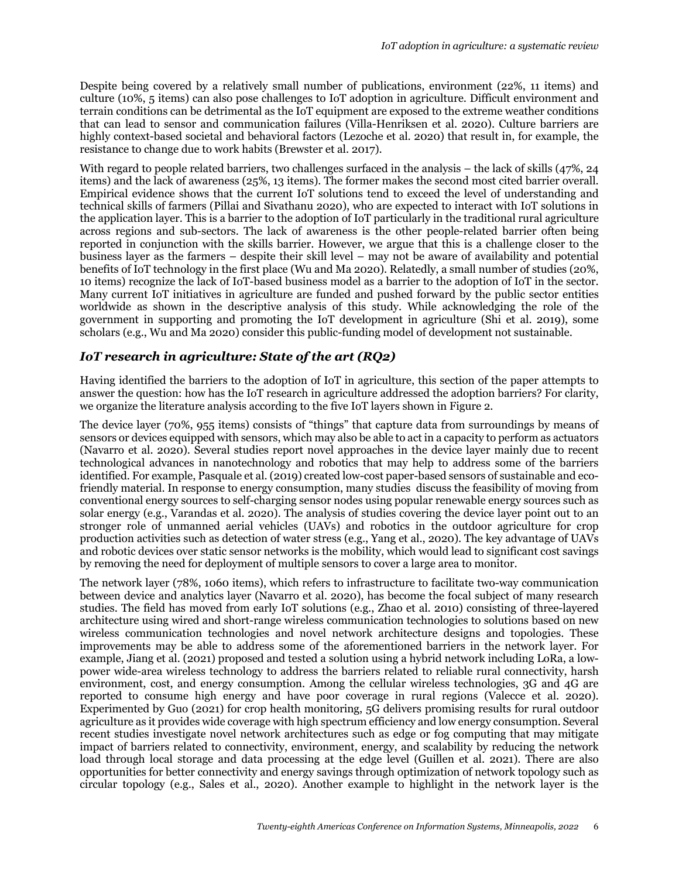Despite being covered by a relatively small number of publications, environment (22%, 11 items) and culture (10%, 5 items) can also pose challenges to IoT adoption in agriculture. Difficult environment and terrain conditions can be detrimental as the IoT equipment are exposed to the extreme weather conditions that can lead to sensor and communication failures (Villa-Henriksen et al. 2020). Culture barriers are highly context-based societal and behavioral factors (Lezoche et al. 2020) that result in, for example, the resistance to change due to work habits (Brewster et al. 2017).

With regard to people related barriers, two challenges surfaced in the analysis – the lack of skills (47%, 24) items) and the lack of awareness (25%, 13 items). The former makes the second most cited barrier overall. Empirical evidence shows that the current IoT solutions tend to exceed the level of understanding and technical skills of farmers (Pillai and Sivathanu 2020), who are expected to interact with IoT solutions in the application layer. This is a barrier to the adoption of IoT particularly in the traditional rural agriculture across regions and sub-sectors. The lack of awareness is the other people-related barrier often being reported in conjunction with the skills barrier. However, we argue that this is a challenge closer to the business layer as the farmers – despite their skill level – may not be aware of availability and potential benefits of IoT technology in the first place (Wu and Ma 2020). Relatedly, a small number of studies (20%, 10 items) recognize the lack of IoT-based business model as a barrier to the adoption of IoT in the sector. Many current IoT initiatives in agriculture are funded and pushed forward by the public sector entities worldwide as shown in the descriptive analysis of this study. While acknowledging the role of the government in supporting and promoting the IoT development in agriculture (Shi et al. 2019), some scholars (e.g., Wu and Ma 2020) consider this public-funding model of development not sustainable.

#### *IoT research in agriculture: State of the art (RQ2)*

Having identified the barriers to the adoption of IoT in agriculture, this section of the paper attempts to answer the question: how has the IoT research in agriculture addressed the adoption barriers? For clarity, we organize the literature analysis according to the five IoT layers shown in Figure 2.

The device layer (70%, 955 items) consists of "things" that capture data from surroundings by means of sensors or devices equipped with sensors, which may also be able to act in a capacity to perform as actuators (Navarro et al. 2020). Several studies report novel approaches in the device layer mainly due to recent technological advances in nanotechnology and robotics that may help to address some of the barriers identified. For example, Pasquale et al. (2019) created low-cost paper-based sensors of sustainable and ecofriendly material. In response to energy consumption, many studies discuss the feasibility of moving from conventional energy sources to self-charging sensor nodes using popular renewable energy sources such as solar energy (e.g., Varandas et al. 2020). The analysis of studies covering the device layer point out to an stronger role of unmanned aerial vehicles (UAVs) and robotics in the outdoor agriculture for crop production activities such as detection of water stress (e.g., Yang et al., 2020). The key advantage of UAVs and robotic devices over static sensor networks is the mobility, which would lead to significant cost savings by removing the need for deployment of multiple sensors to cover a large area to monitor.

The network layer (78%, 1060 items), which refers to infrastructure to facilitate two-way communication between device and analytics layer (Navarro et al. 2020), has become the focal subject of many research studies. The field has moved from early IoT solutions (e.g., Zhao et al. 2010) consisting of three-layered architecture using wired and short-range wireless communication technologies to solutions based on new wireless communication technologies and novel network architecture designs and topologies. These improvements may be able to address some of the aforementioned barriers in the network layer. For example, Jiang et al. (2021) proposed and tested a solution using a hybrid network including LoRa, a lowpower wide-area wireless technology to address the barriers related to reliable rural connectivity, harsh environment, cost, and energy consumption. Among the cellular wireless technologies, 3G and 4G are reported to consume high energy and have poor coverage in rural regions (Valecce et al. 2020). Experimented by Guo (2021) for crop health monitoring, 5G delivers promising results for rural outdoor agriculture as it provides wide coverage with high spectrum efficiency and low energy consumption. Several recent studies investigate novel network architectures such as edge or fog computing that may mitigate impact of barriers related to connectivity, environment, energy, and scalability by reducing the network load through local storage and data processing at the edge level (Guillen et al. 2021). There are also opportunities for better connectivity and energy savings through optimization of network topology such as circular topology (e.g., Sales et al., 2020). Another example to highlight in the network layer is the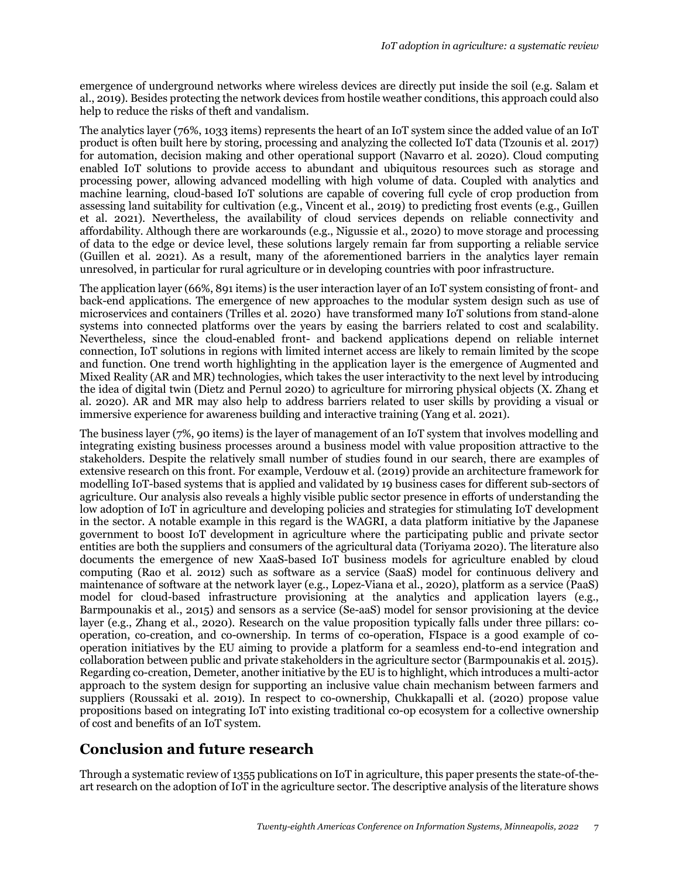emergence of underground networks where wireless devices are directly put inside the soil (e.g. Salam et al., 2019). Besides protecting the network devices from hostile weather conditions, this approach could also help to reduce the risks of theft and vandalism.

The analytics layer (76%, 1033 items) represents the heart of an IoT system since the added value of an IoT product is often built here by storing, processing and analyzing the collected IoT data (Tzounis et al. 2017) for automation, decision making and other operational support (Navarro et al. 2020). Cloud computing enabled IoT solutions to provide access to abundant and ubiquitous resources such as storage and processing power, allowing advanced modelling with high volume of data. Coupled with analytics and machine learning, cloud-based IoT solutions are capable of covering full cycle of crop production from assessing land suitability for cultivation (e.g., Vincent et al., 2019) to predicting frost events (e.g., Guillen et al. 2021). Nevertheless, the availability of cloud services depends on reliable connectivity and affordability. Although there are workarounds (e.g., Nigussie et al., 2020) to move storage and processing of data to the edge or device level, these solutions largely remain far from supporting a reliable service (Guillen et al. 2021). As a result, many of the aforementioned barriers in the analytics layer remain unresolved, in particular for rural agriculture or in developing countries with poor infrastructure.

The application layer (66%, 891 items) is the user interaction layer of an IoT system consisting of front- and back-end applications. The emergence of new approaches to the modular system design such as use of microservices and containers (Trilles et al. 2020) have transformed many IoT solutions from stand-alone systems into connected platforms over the years by easing the barriers related to cost and scalability. Nevertheless, since the cloud-enabled front- and backend applications depend on reliable internet connection, IoT solutions in regions with limited internet access are likely to remain limited by the scope and function. One trend worth highlighting in the application layer is the emergence of Augmented and Mixed Reality (AR and MR) technologies, which takes the user interactivity to the next level by introducing the idea of digital twin (Dietz and Pernul 2020) to agriculture for mirroring physical objects (X. Zhang et al. 2020). AR and MR may also help to address barriers related to user skills by providing a visual or immersive experience for awareness building and interactive training (Yang et al. 2021).

The business layer (7%, 90 items) is the layer of management of an IoT system that involves modelling and integrating existing business processes around a business model with value proposition attractive to the stakeholders. Despite the relatively small number of studies found in our search, there are examples of extensive research on this front. For example, Verdouw et al. (2019) provide an architecture framework for modelling IoT-based systems that is applied and validated by 19 business cases for different sub-sectors of agriculture. Our analysis also reveals a highly visible public sector presence in efforts of understanding the low adoption of IoT in agriculture and developing policies and strategies for stimulating IoT development in the sector. A notable example in this regard is the WAGRI, a data platform initiative by the Japanese government to boost IoT development in agriculture where the participating public and private sector entities are both the suppliers and consumers of the agricultural data (Toriyama 2020). The literature also documents the emergence of new XaaS-based IoT business models for agriculture enabled by cloud computing (Rao et al. 2012) such as software as a service (SaaS) model for continuous delivery and maintenance of software at the network layer (e.g., Lopez-Viana et al., 2020), platform as a service (PaaS) model for cloud-based infrastructure provisioning at the analytics and application layers (e.g., Barmpounakis et al., 2015) and sensors as a service (Se-aaS) model for sensor provisioning at the device layer (e.g., Zhang et al., 2020). Research on the value proposition typically falls under three pillars: cooperation, co-creation, and co-ownership. In terms of co-operation, FIspace is a good example of cooperation initiatives by the EU aiming to provide a platform for a seamless end-to-end integration and collaboration between public and private stakeholders in the agriculture sector (Barmpounakis et al. 2015). Regarding co-creation, Demeter, another initiative by the EU is to highlight, which introduces a multi-actor approach to the system design for supporting an inclusive value chain mechanism between farmers and suppliers (Roussaki et al. 2019). In respect to co-ownership, Chukkapalli et al. (2020) propose value propositions based on integrating IoT into existing traditional co-op ecosystem for a collective ownership of cost and benefits of an IoT system.

# **Conclusion and future research**

Through a systematic review of 1355 publications on IoT in agriculture, this paper presents the state-of-theart research on the adoption of IoT in the agriculture sector. The descriptive analysis of the literature shows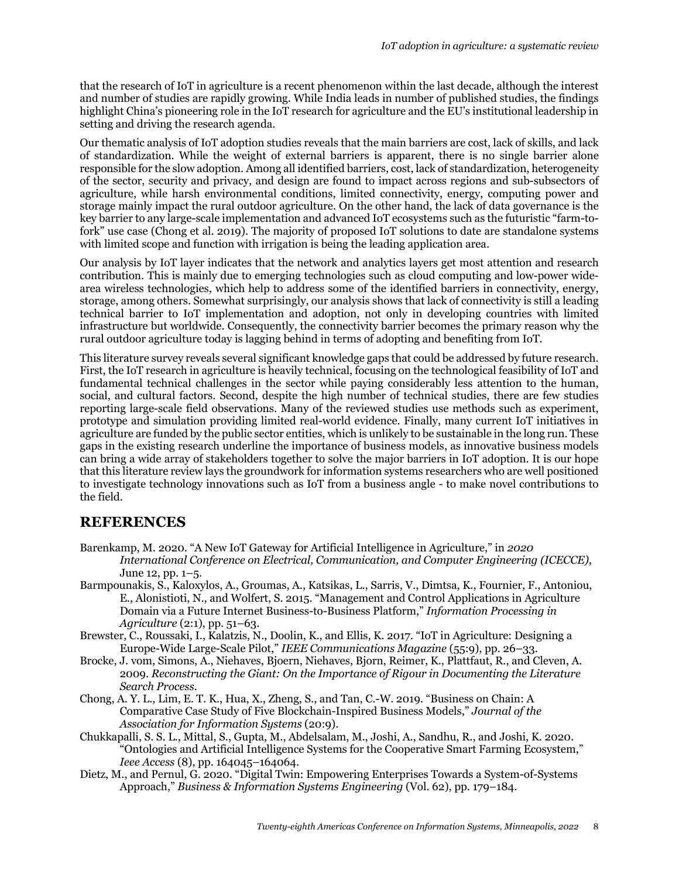that the research of IoT in agriculture is a recent phenomenon within the last decade, although the interest and number of studies are rapidly growing. While India leads in number of published studies, the findings highlight China's pioneering role in the IoT research for agriculture and the EU's institutional leadership in setting and driving the research agenda.

Our thematic analysis of IoT adoption studies reveals that the main barriers are cost, lack of skills, and lack of standardization. While the weight of external barriers is apparent, there is no single barrier alone responsible for the slow adoption. Among all identified barriers, cost, lack of standardization, heterogeneity of the sector, security and privacy, and design are found to impact across regions and sub-subsectors of agriculture, while harsh environmental conditions, limited connectivity, energy, computing power and storage mainly impact the rural outdoor agriculture. On the other hand, the lack of data governance is the key barrier to any large-scale implementation and advanced IoT ecosystems such as the futuristic "farm-tofork" use case (Chong et al. 2019). The majority of proposed IoT solutions to date are standalone systems with limited scope and function with irrigation is being the leading application area.

Our analysis by IoT layer indicates that the network and analytics layers get most attention and research contribution. This is mainly due to emerging technologies such as cloud computing and low-power widearea wireless technologies, which help to address some of the identified barriers in connectivity, energy, storage, among others. Somewhat surprisingly, our analysis shows that lack of connectivity is still a leading technical barrier to IoT implementation and adoption, not only in developing countries with limited infrastructure but worldwide. Consequently, the connectivity barrier becomes the primary reason why the rural outdoor agriculture today is lagging behind in terms of adopting and benefiting from IoT.

This literature survey reveals several significant knowledge gaps that could be addressed by future research. First, the IoT research in agriculture is heavily technical, focusing on the technological feasibility of IoT and fundamental technical challenges in the sector while paying considerably less attention to the human, social, and cultural factors. Second, despite the high number of technical studies, there are few studies reporting large-scale field observations. Many of the reviewed studies use methods such as experiment, prototype and simulation providing limited real-world evidence. Finally, many current IoT initiatives in agriculture are funded by the public sector entities, which is unlikely to be sustainable in the long run. These gaps in the existing research underline the importance of business models, as innovative business models can bring a wide array of stakeholders together to solve the major barriers in IoT adoption. It is our hope that this literature review lays the groundwork for information systems researchers who are well positioned to investigate technology innovations such as IoT from a business angle - to make novel contributions to the field.

### **REFERENCES**

- Barenkamp, M. 2020. "A New IoT Gateway for Artificial Intelligence in Agriculture," in *2020 International Conference on Electrical, Communication, and Computer Engineering (ICECCE)*, June 12, pp. 1–5.
- Barmpounakis, S., Kaloxylos, A., Groumas, A., Katsikas, L., Sarris, V., Dimtsa, K., Fournier, F., Antoniou, E., Alonistioti, N., and Wolfert, S. 2015. "Management and Control Applications in Agriculture Domain via a Future Internet Business-to-Business Platform," *Information Processing in Agriculture* (2:1), pp. 51–63.
- Brewster, C., Roussaki, I., Kalatzis, N., Doolin, K., and Ellis, K. 2017. "IoT in Agriculture: Designing a Europe-Wide Large-Scale Pilot," *IEEE Communications Magazine* (55:9), pp. 26–33.
- Brocke, J. vom, Simons, A., Niehaves, Bjoern, Niehaves, Bjorn, Reimer, K., Plattfaut, R., and Cleven, A. 2009. *Reconstructing the Giant: On the Importance of Rigour in Documenting the Literature Search Process*.
- Chong, A. Y. L., Lim, E. T. K., Hua, X., Zheng, S., and Tan, C.-W. 2019. "Business on Chain: A Comparative Case Study of Five Blockchain-Inspired Business Models," *Journal of the Association for Information Systems* (20:9).
- Chukkapalli, S. S. L., Mittal, S., Gupta, M., Abdelsalam, M., Joshi, A., Sandhu, R., and Joshi, K. 2020. "Ontologies and Artificial Intelligence Systems for the Cooperative Smart Farming Ecosystem," *Ieee Access* (8), pp. 164045–164064.
- Dietz, M., and Pernul, G. 2020. "Digital Twin: Empowering Enterprises Towards a System-of-Systems Approach," *Business & Information Systems Engineering* (Vol. 62), pp. 179–184.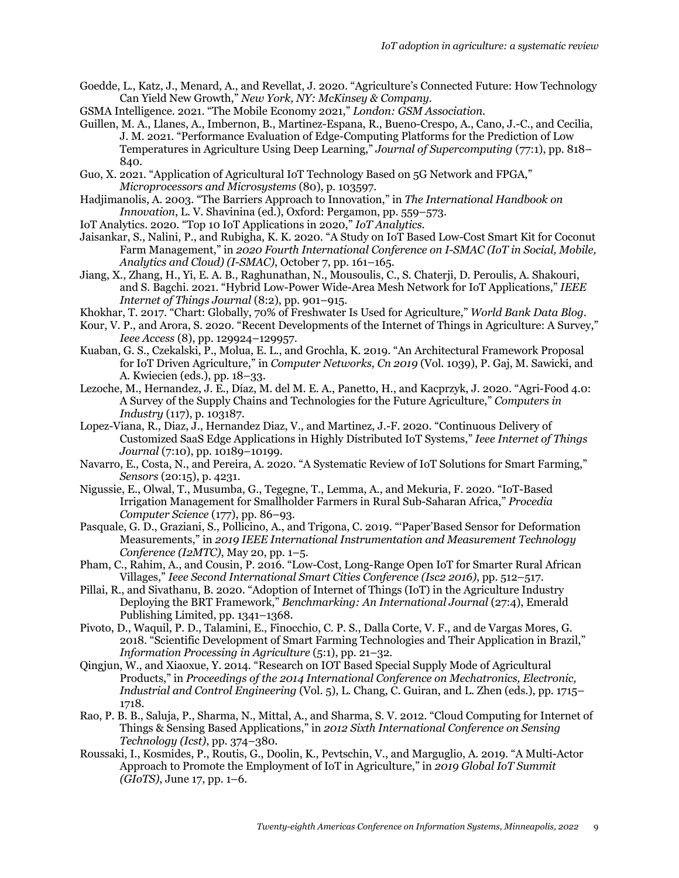- Goedde, L., Katz, J., Menard, A., and Revellat, J. 2020. "Agriculture's Connected Future: How Technology Can Yield New Growth," *New York, NY: McKinsey & Company*.
- GSMA Intelligence. 2021. "The Mobile Economy 2021," *London: GSM Association*.
- Guillen, M. A., Llanes, A., Imbernon, B., Martinez-Espana, R., Bueno-Crespo, A., Cano, J.-C., and Cecilia, J. M. 2021. "Performance Evaluation of Edge-Computing Platforms for the Prediction of Low Temperatures in Agriculture Using Deep Learning," *Journal of Supercomputing* (77:1), pp. 818– 840.
- Guo, X. 2021. "Application of Agricultural IoT Technology Based on 5G Network and FPGA," *Microprocessors and Microsystems* (80), p. 103597.
- Hadjimanolis, A. 2003. "The Barriers Approach to Innovation," in *The International Handbook on Innovation*, L. V. Shavinina (ed.), Oxford: Pergamon, pp. 559–573.
- IoT Analytics. 2020. "Top 10 IoT Applications in 2020," *IoT Analytics*.
- Jaisankar, S., Nalini, P., and Rubigha, K. K. 2020. "A Study on IoT Based Low-Cost Smart Kit for Coconut Farm Management," in *2020 Fourth International Conference on I-SMAC (IoT in Social, Mobile, Analytics and Cloud) (I-SMAC)*, October 7, pp. 161–165.
- Jiang, X., Zhang, H., Yi, E. A. B., Raghunathan, N., Mousoulis, C., S. Chaterji, D. Peroulis, A. Shakouri, and S. Bagchi. 2021. "Hybrid Low-Power Wide-Area Mesh Network for IoT Applications," *IEEE Internet of Things Journal* (8:2), pp. 901–915.
- Khokhar, T. 2017. "Chart: Globally, 70% of Freshwater Is Used for Agriculture," *World Bank Data Blog*.
- Kour, V. P., and Arora, S. 2020. "Recent Developments of the Internet of Things in Agriculture: A Survey," *Ieee Access* (8), pp. 129924–129957.
- Kuaban, G. S., Czekalski, P., Molua, E. L., and Grochla, K. 2019. "An Architectural Framework Proposal for IoT Driven Agriculture," in *Computer Networks, Cn 2019* (Vol. 1039), P. Gaj, M. Sawicki, and A. Kwiecien (eds.), pp. 18–33.
- Lezoche, M., Hernandez, J. E., Díaz, M. del M. E. A., Panetto, H., and Kacprzyk, J. 2020. "Agri-Food 4.0: A Survey of the Supply Chains and Technologies for the Future Agriculture," *Computers in Industry* (117), p. 103187.
- Lopez-Viana, R., Diaz, J., Hernandez Diaz, V., and Martinez, J.-F. 2020. "Continuous Delivery of Customized SaaS Edge Applications in Highly Distributed IoT Systems," *Ieee Internet of Things Journal* (7:10), pp. 10189–10199.
- Navarro, E., Costa, N., and Pereira, A. 2020. "A Systematic Review of IoT Solutions for Smart Farming," *Sensors* (20:15), p. 4231.
- Nigussie, E., Olwal, T., Musumba, G., Tegegne, T., Lemma, A., and Mekuria, F. 2020. "IoT-Based Irrigation Management for Smallholder Farmers in Rural Sub-Saharan Africa," *Procedia Computer Science* (177), pp. 86–93.
- Pasquale, G. D., Graziani, S., Pollicino, A., and Trigona, C. 2019. "'Paper'Based Sensor for Deformation Measurements," in *2019 IEEE International Instrumentation and Measurement Technology Conference (I2MTC)*, May 20, pp. 1–5.
- Pham, C., Rahim, A., and Cousin, P. 2016. "Low-Cost, Long-Range Open IoT for Smarter Rural African Villages," *Ieee Second International Smart Cities Conference (Isc2 2016)*, pp. 512–517.
- Pillai, R., and Sivathanu, B. 2020. "Adoption of Internet of Things (IoT) in the Agriculture Industry Deploying the BRT Framework," *Benchmarking: An International Journal* (27:4), Emerald Publishing Limited, pp. 1341–1368.
- Pivoto, D., Waquil, P. D., Talamini, E., Finocchio, C. P. S., Dalla Corte, V. F., and de Vargas Mores, G. 2018. "Scientific Development of Smart Farming Technologies and Their Application in Brazil," *Information Processing in Agriculture* (5:1), pp. 21–32.
- Qingjun, W., and Xiaoxue, Y. 2014. "Research on IOT Based Special Supply Mode of Agricultural Products," in *Proceedings of the 2014 International Conference on Mechatronics, Electronic, Industrial and Control Engineering* (Vol. 5), L. Chang, C. Guiran, and L. Zhen (eds.), pp. 1715– 1718.
- Rao, P. B. B., Saluja, P., Sharma, N., Mittal, A., and Sharma, S. V. 2012. "Cloud Computing for Internet of Things & Sensing Based Applications," in *2012 Sixth International Conference on Sensing Technology (Icst)*, pp. 374–380.
- Roussaki, I., Kosmides, P., Routis, G., Doolin, K., Pevtschin, V., and Marguglio, A. 2019. "A Multi-Actor Approach to Promote the Employment of IoT in Agriculture," in *2019 Global IoT Summit (GIoTS)*, June 17, pp. 1–6.